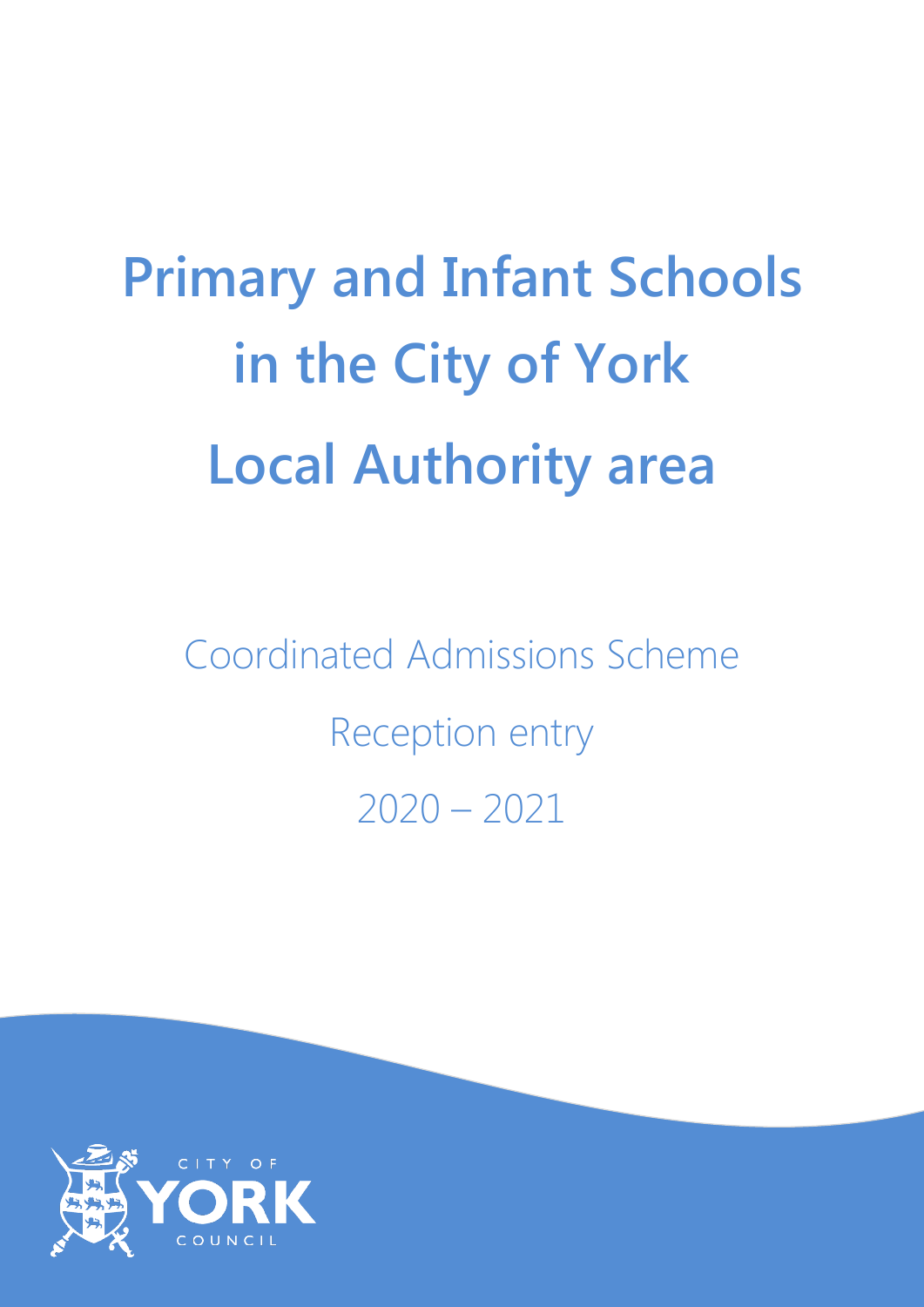# **Primary and Infant Schools in the City of York Local Authority area**

Coordinated Admissions Scheme Reception entry 2020 – 2021

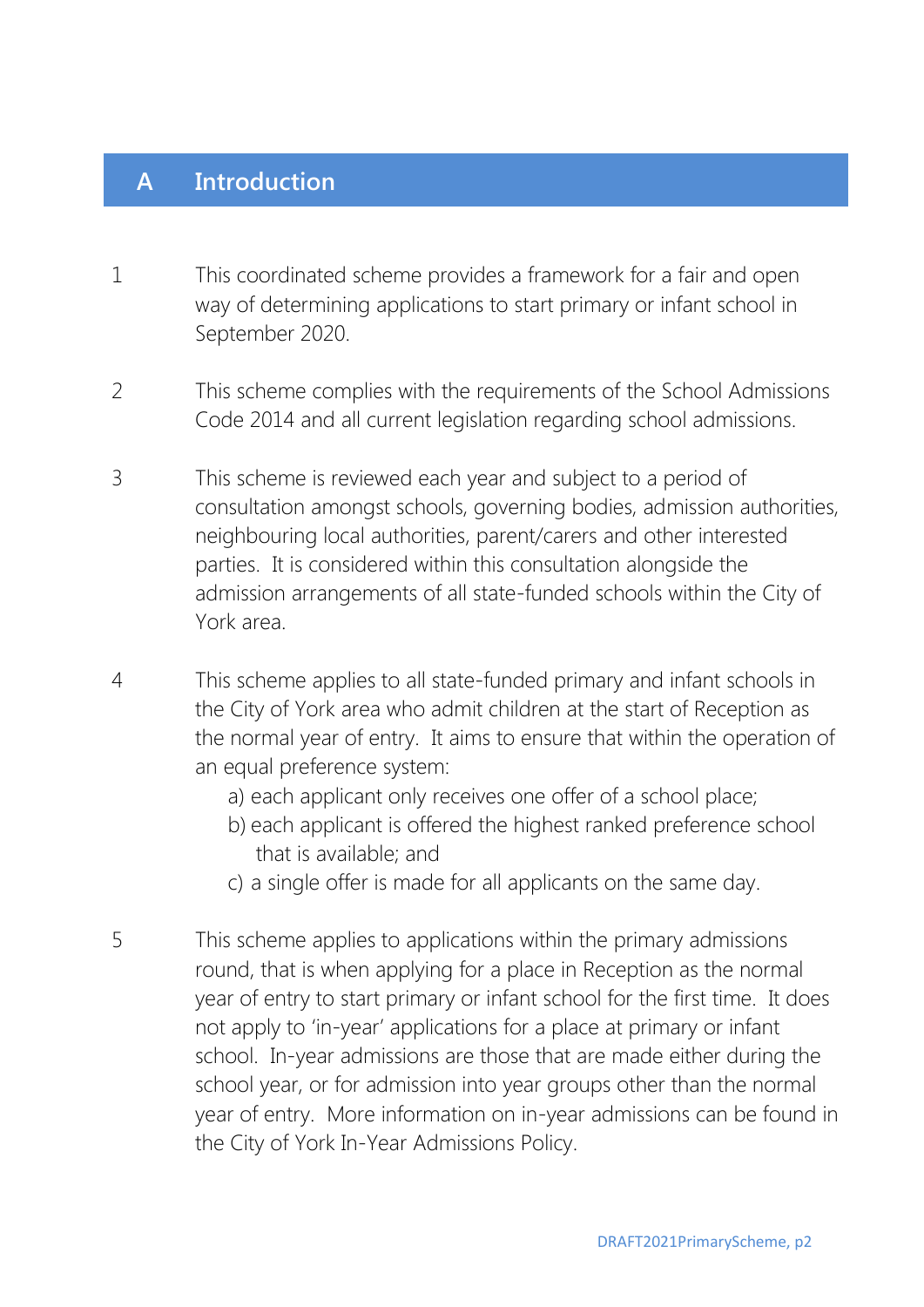#### **A Introduction**

- 1 This coordinated scheme provides a framework for a fair and open way of determining applications to start primary or infant school in September 2020.
- 2 This scheme complies with the requirements of the School Admissions Code 2014 and all current legislation regarding school admissions.
- 3 This scheme is reviewed each year and subject to a period of consultation amongst schools, governing bodies, admission authorities, neighbouring local authorities, parent/carers and other interested parties. It is considered within this consultation alongside the admission arrangements of all state-funded schools within the City of York area.
- 4 This scheme applies to all state-funded primary and infant schools in the City of York area who admit children at the start of Reception as the normal year of entry. It aims to ensure that within the operation of an equal preference system:
	- a) each applicant only receives one offer of a school place;
	- b) each applicant is offered the highest ranked preference school that is available; and
	- c) a single offer is made for all applicants on the same day.
- 5 This scheme applies to applications within the primary admissions round, that is when applying for a place in Reception as the normal year of entry to start primary or infant school for the first time. It does not apply to 'in-year' applications for a place at primary or infant school. In-year admissions are those that are made either during the school year, or for admission into year groups other than the normal year of entry. More information on in-year admissions can be found in the City of York In-Year Admissions Policy.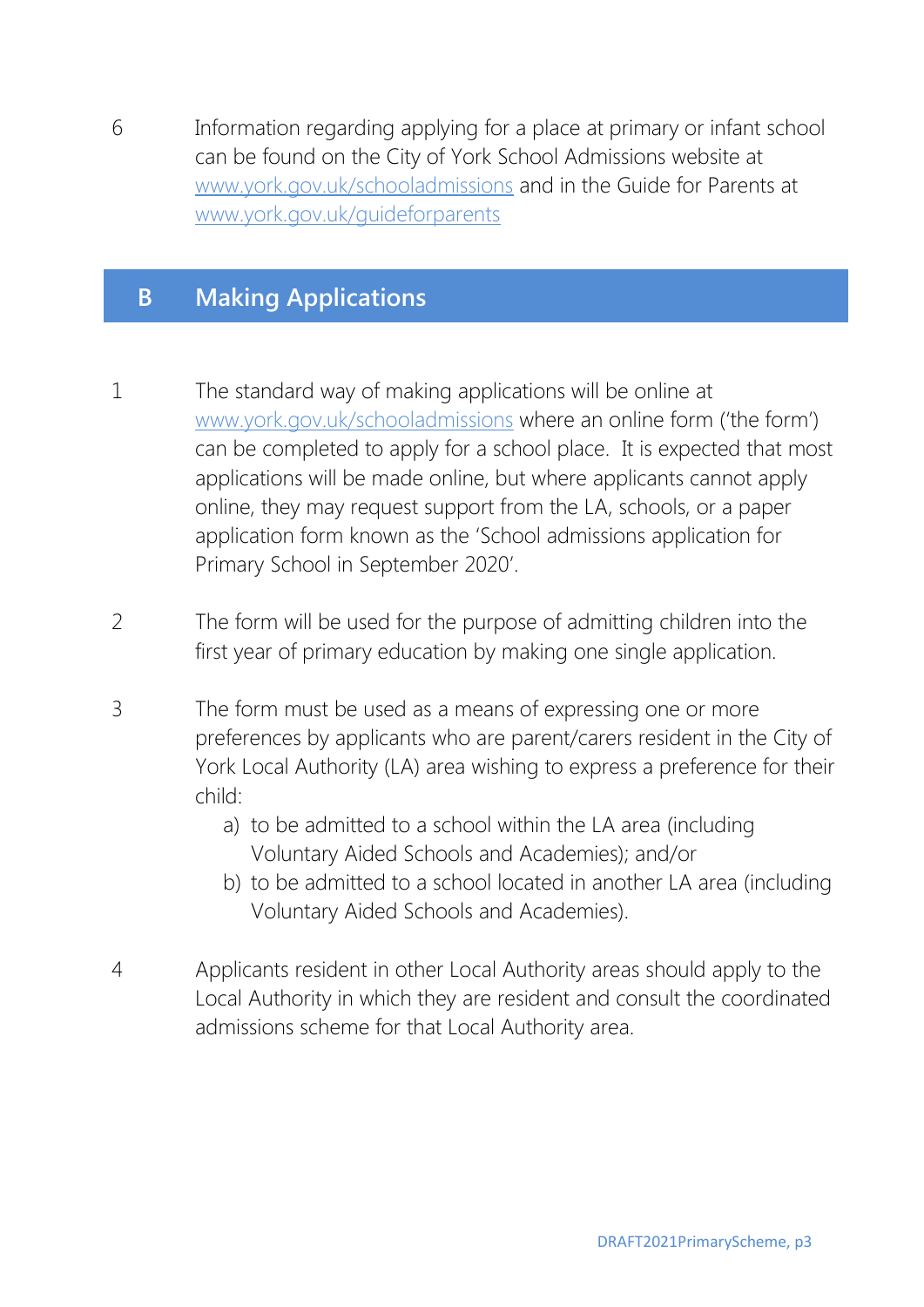6 Information regarding applying for a place at primary or infant school can be found on the City of York School Admissions website at [www.york.gov.uk/schooladmissions](http://www.york.gov.uk/schooladmissions) and in the Guide for Parents at [www.york.gov.uk/guideforparents](http://www.york.gov.uk/guideforparents)

## **B Making Applications**

- 1 The standard way of making applications will be online at [www.york.gov.uk/schooladmissions](http://www.york.gov.uk/schooladmissions) where an online form ('the form') can be completed to apply for a school place. It is expected that most applications will be made online, but where applicants cannot apply online, they may request support from the LA, schools, or a paper application form known as the 'School admissions application for Primary School in September 2020'.
- 2 The form will be used for the purpose of admitting children into the first year of primary education by making one single application.
- 3 The form must be used as a means of expressing one or more preferences by applicants who are parent/carers resident in the City of York Local Authority (LA) area wishing to express a preference for their child:
	- a) to be admitted to a school within the LA area (including Voluntary Aided Schools and Academies); and/or
	- b) to be admitted to a school located in another LA area (including Voluntary Aided Schools and Academies).
- 4 Applicants resident in other Local Authority areas should apply to the Local Authority in which they are resident and consult the coordinated admissions scheme for that Local Authority area.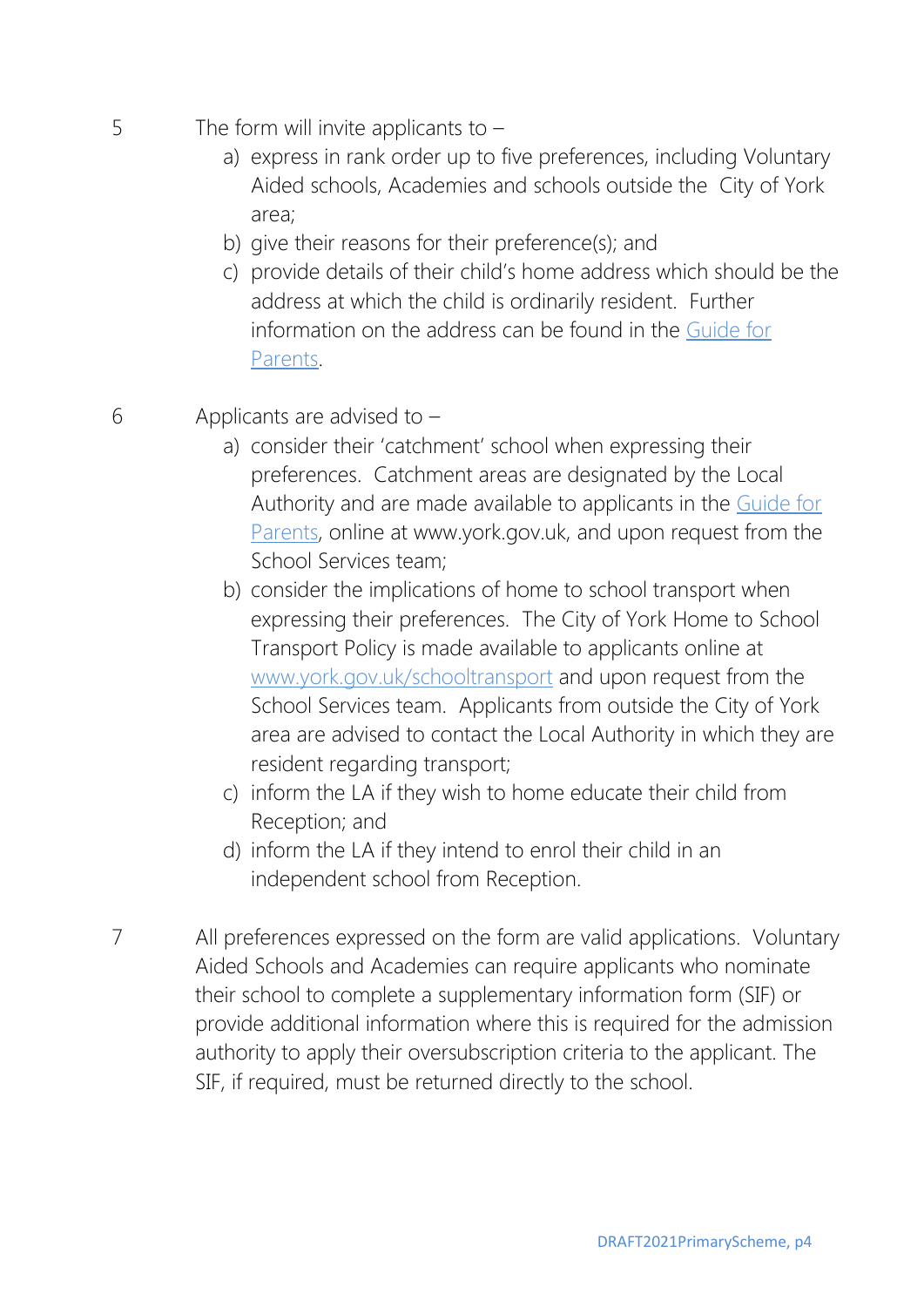- 5 The form will invite applicants to  $$ 
	- a) express in rank order up to five preferences, including Voluntary Aided schools, Academies and schools outside the City of York area;
	- b) give their reasons for their preference(s); and
	- c) provide details of their child's home address which should be the address at which the child is ordinarily resident. Further information on the address can be found in the [Guide for](http://www.york.gov.uk/guideforparents)  [Parents.](http://www.york.gov.uk/guideforparents)
- 6 Applicants are advised to
	- a) consider their 'catchment' school when expressing their preferences. Catchment areas are designated by the Local Authority and are made available to applicants in the [Guide for](http://www.york.gov.uk/guideforparents)  [Parents,](http://www.york.gov.uk/guideforparents) online at www.york.gov.uk, and upon request from the School Services team;
	- b) consider the implications of home to school transport when expressing their preferences. The City of York Home to School Transport Policy is made available to applicants online at [www.york.gov.uk/schooltransport](http://www.york.gov.uk/schooltransport) and upon request from the School Services team. Applicants from outside the City of York area are advised to contact the Local Authority in which they are resident regarding transport;
	- c) inform the LA if they wish to home educate their child from Reception; and
	- d) inform the LA if they intend to enrol their child in an independent school from Reception.
- 7 All preferences expressed on the form are valid applications. Voluntary Aided Schools and Academies can require applicants who nominate their school to complete a supplementary information form (SIF) or provide additional information where this is required for the admission authority to apply their oversubscription criteria to the applicant. The SIF, if required, must be returned directly to the school.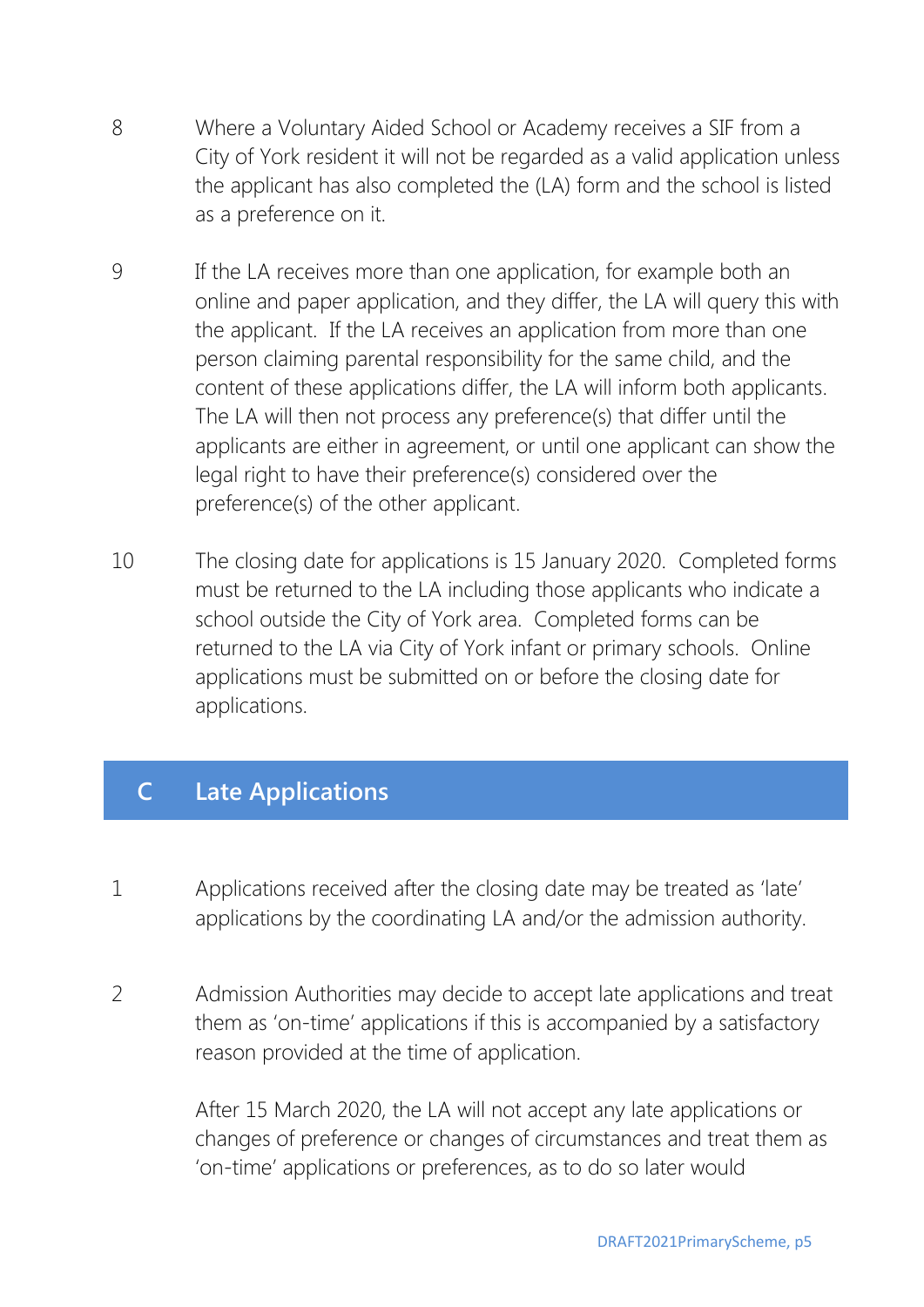- 8 Where a Voluntary Aided School or Academy receives a SIF from a City of York resident it will not be regarded as a valid application unless the applicant has also completed the (LA) form and the school is listed as a preference on it.
- 9 If the LA receives more than one application, for example both an online and paper application, and they differ, the LA will query this with the applicant. If the LA receives an application from more than one person claiming parental responsibility for the same child, and the content of these applications differ, the LA will inform both applicants. The LA will then not process any preference(s) that differ until the applicants are either in agreement, or until one applicant can show the legal right to have their preference(s) considered over the preference(s) of the other applicant.
- 10 The closing date for applications is 15 January 2020. Completed forms must be returned to the LA including those applicants who indicate a school outside the City of York area. Completed forms can be returned to the LA via City of York infant or primary schools. Online applications must be submitted on or before the closing date for applications.

# **C Late Applications**

- 1 Applications received after the closing date may be treated as 'late' applications by the coordinating LA and/or the admission authority.
- 2 Admission Authorities may decide to accept late applications and treat them as 'on-time' applications if this is accompanied by a satisfactory reason provided at the time of application.

After 15 March 2020, the LA will not accept any late applications or changes of preference or changes of circumstances and treat them as 'on-time' applications or preferences, as to do so later would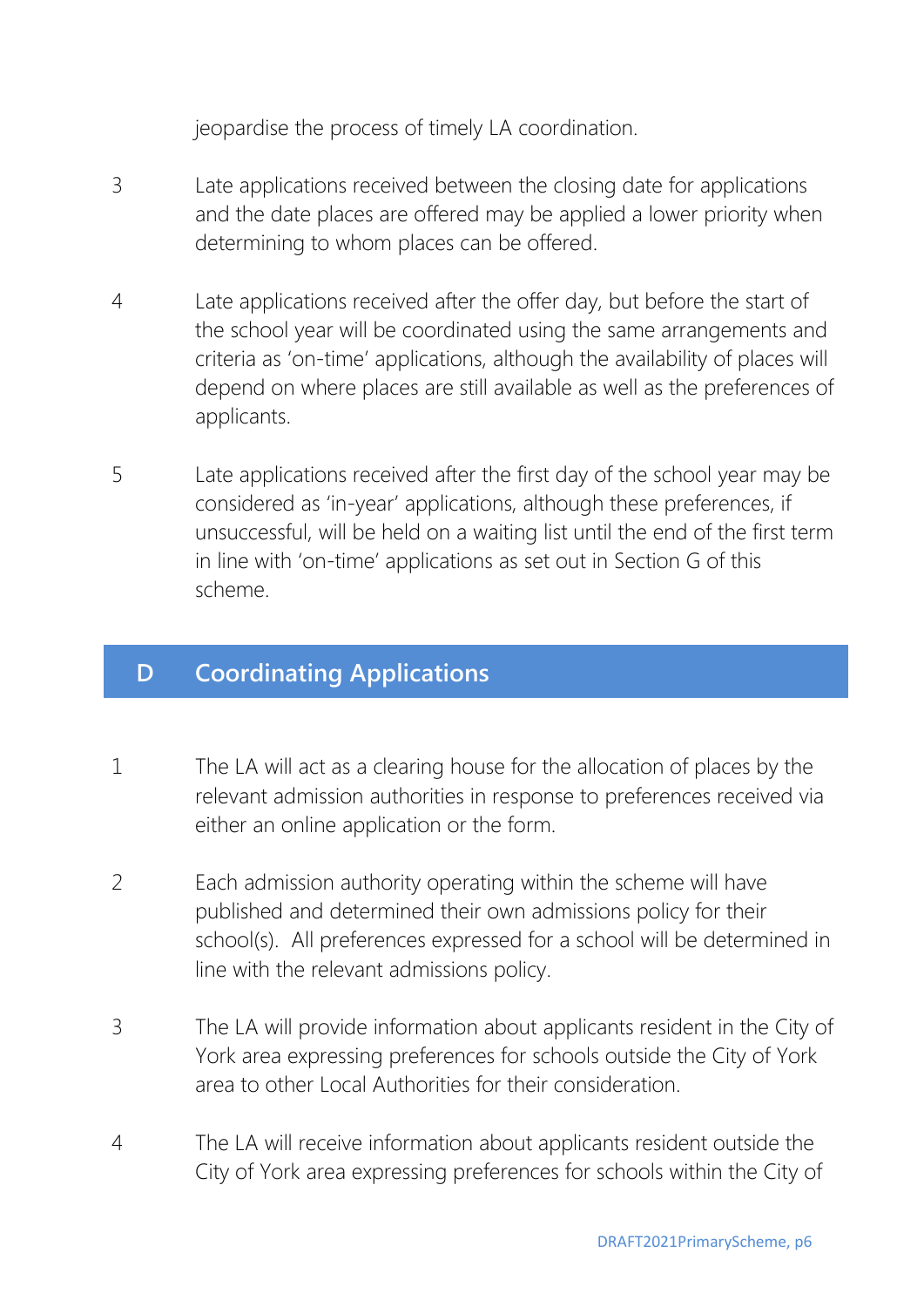jeopardise the process of timely LA coordination.

- 3 Late applications received between the closing date for applications and the date places are offered may be applied a lower priority when determining to whom places can be offered.
- 4 Late applications received after the offer day, but before the start of the school year will be coordinated using the same arrangements and criteria as 'on-time' applications, although the availability of places will depend on where places are still available as well as the preferences of applicants.
- 5 Late applications received after the first day of the school year may be considered as 'in-year' applications, although these preferences, if unsuccessful, will be held on a waiting list until the end of the first term in line with 'on-time' applications as set out in Section G of this scheme.

#### **D Coordinating Applications**

- 1 The LA will act as a clearing house for the allocation of places by the relevant admission authorities in response to preferences received via either an online application or the form.
- 2 Each admission authority operating within the scheme will have published and determined their own admissions policy for their school(s). All preferences expressed for a school will be determined in line with the relevant admissions policy.
- 3 The LA will provide information about applicants resident in the City of York area expressing preferences for schools outside the City of York area to other Local Authorities for their consideration.
- 4 The LA will receive information about applicants resident outside the City of York area expressing preferences for schools within the City of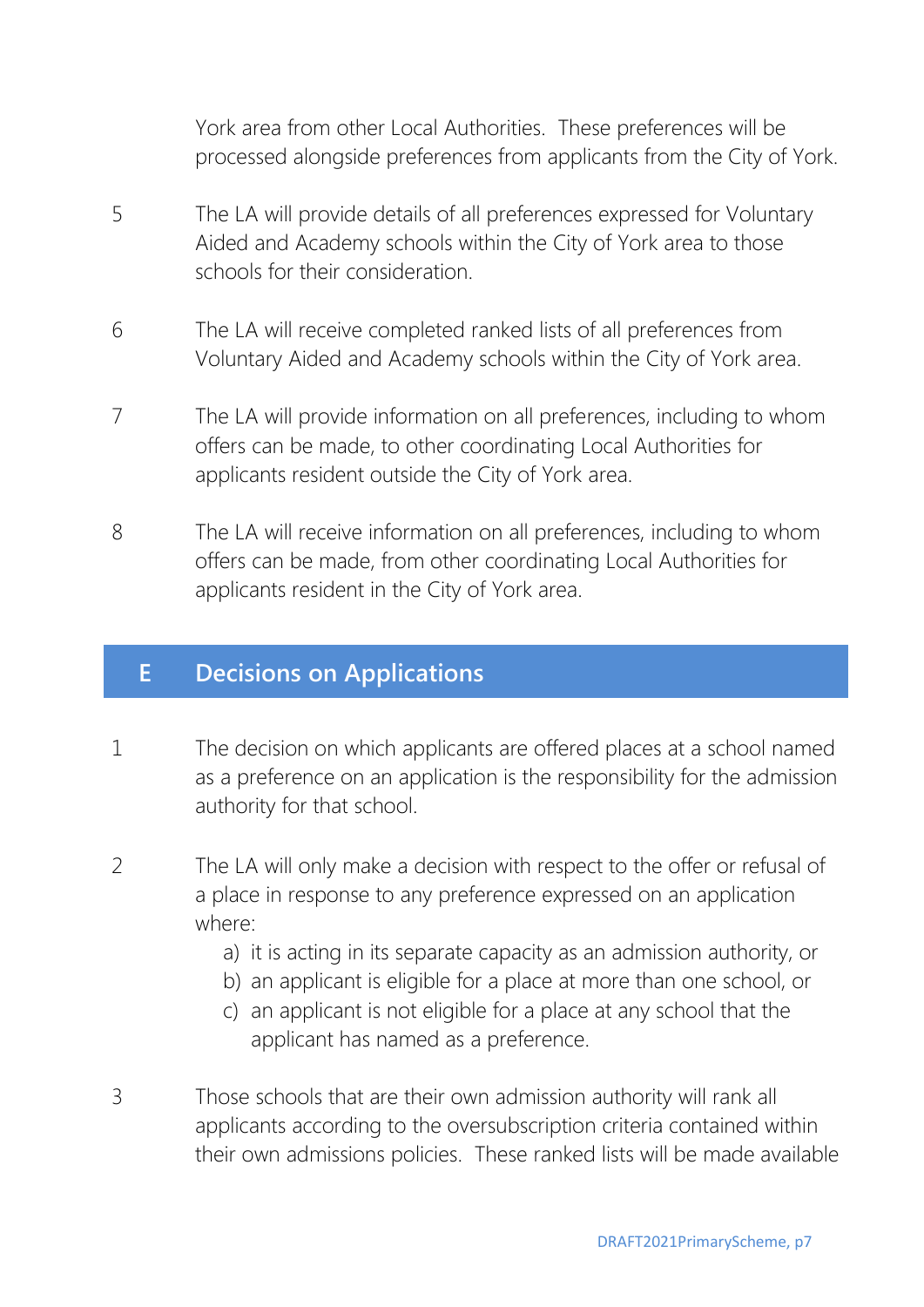York area from other Local Authorities. These preferences will be processed alongside preferences from applicants from the City of York.

- 5 The LA will provide details of all preferences expressed for Voluntary Aided and Academy schools within the City of York area to those schools for their consideration.
- 6 The LA will receive completed ranked lists of all preferences from Voluntary Aided and Academy schools within the City of York area.
- 7 The LA will provide information on all preferences, including to whom offers can be made, to other coordinating Local Authorities for applicants resident outside the City of York area.
- 8 The LA will receive information on all preferences, including to whom offers can be made, from other coordinating Local Authorities for applicants resident in the City of York area.

#### **E Decisions on Applications**

- 1 The decision on which applicants are offered places at a school named as a preference on an application is the responsibility for the admission authority for that school.
- 2 The LA will only make a decision with respect to the offer or refusal of a place in response to any preference expressed on an application where:
	- a) it is acting in its separate capacity as an admission authority, or
	- b) an applicant is eligible for a place at more than one school, or
	- c) an applicant is not eligible for a place at any school that the applicant has named as a preference.
- 3 Those schools that are their own admission authority will rank all applicants according to the oversubscription criteria contained within their own admissions policies. These ranked lists will be made available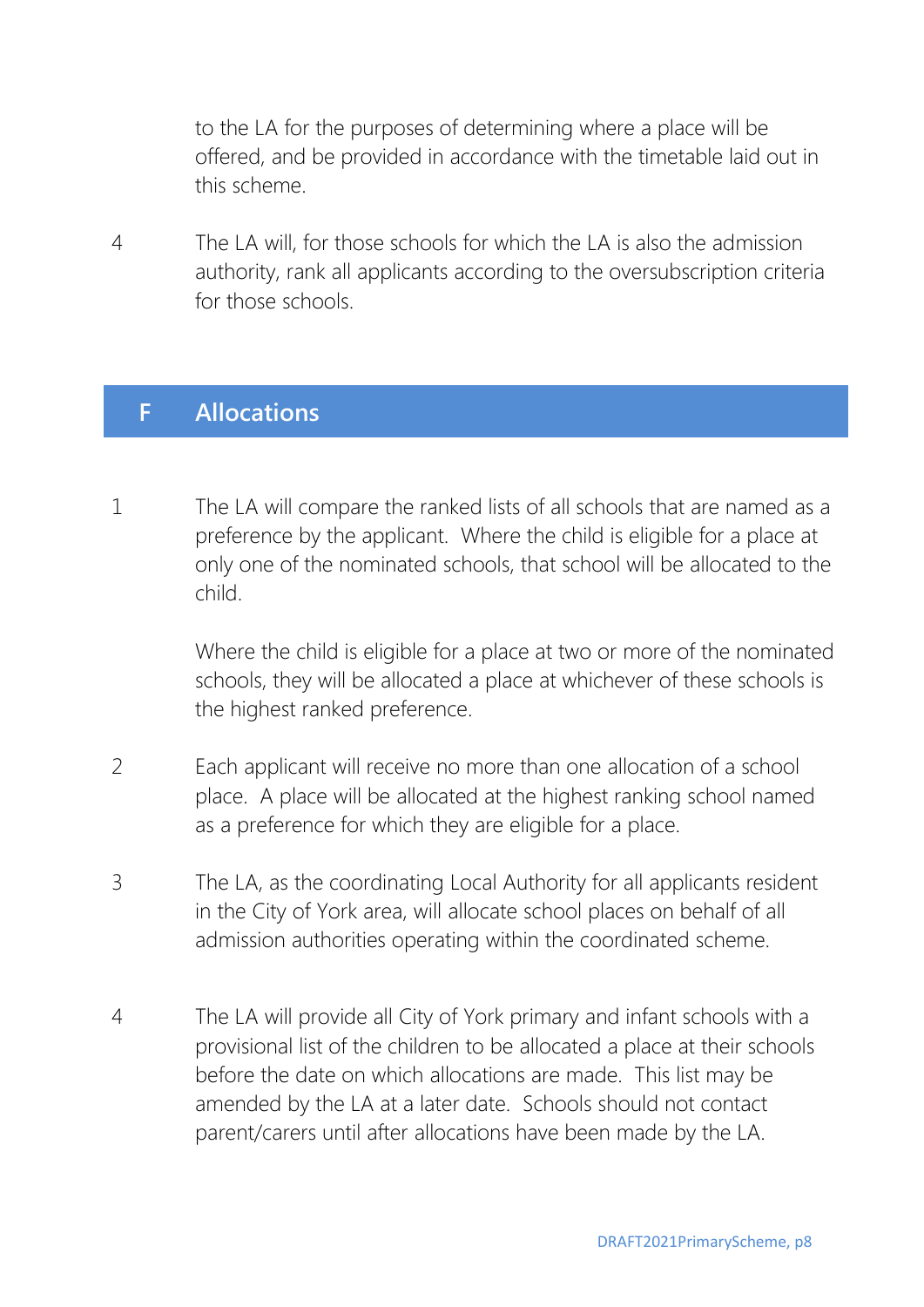to the LA for the purposes of determining where a place will be offered, and be provided in accordance with the timetable laid out in this scheme.

4 The LA will, for those schools for which the LA is also the admission authority, rank all applicants according to the oversubscription criteria for those schools.

#### **F Allocations**

1 The LA will compare the ranked lists of all schools that are named as a preference by the applicant. Where the child is eligible for a place at only one of the nominated schools, that school will be allocated to the child.

> Where the child is eligible for a place at two or more of the nominated schools, they will be allocated a place at whichever of these schools is the highest ranked preference.

- 2 Each applicant will receive no more than one allocation of a school place. A place will be allocated at the highest ranking school named as a preference for which they are eligible for a place.
- 3 The LA, as the coordinating Local Authority for all applicants resident in the City of York area, will allocate school places on behalf of all admission authorities operating within the coordinated scheme.
- 4 The LA will provide all City of York primary and infant schools with a provisional list of the children to be allocated a place at their schools before the date on which allocations are made. This list may be amended by the LA at a later date. Schools should not contact parent/carers until after allocations have been made by the LA.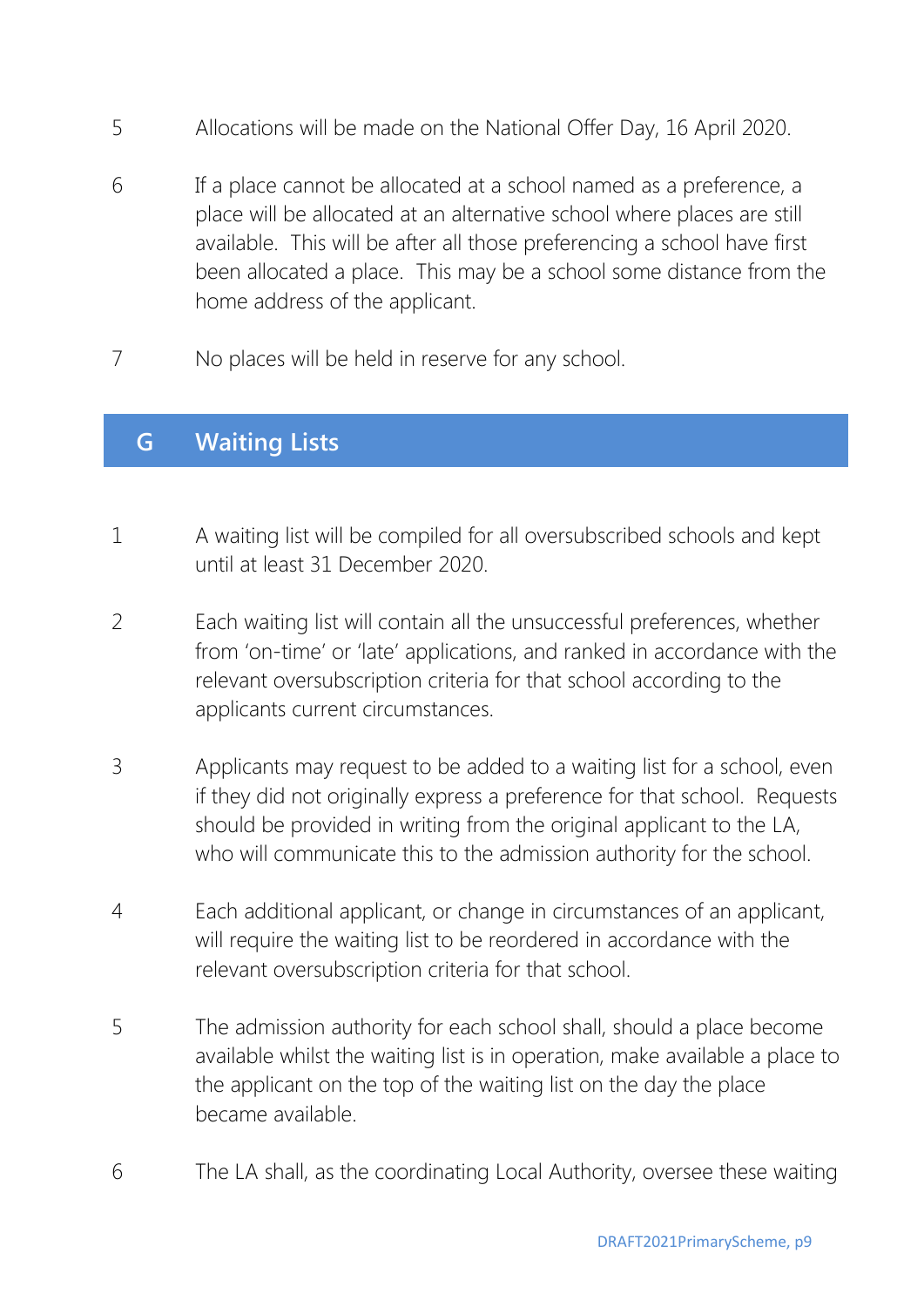- 5 Allocations will be made on the National Offer Day, 16 April 2020.
- 6 If a place cannot be allocated at a school named as a preference, a place will be allocated at an alternative school where places are still available. This will be after all those preferencing a school have first been allocated a place. This may be a school some distance from the home address of the applicant.
- 7 No places will be held in reserve for any school.

# **G Waiting Lists**

- 1 A waiting list will be compiled for all oversubscribed schools and kept until at least 31 December 2020.
- 2 Each waiting list will contain all the unsuccessful preferences, whether from 'on-time' or 'late' applications, and ranked in accordance with the relevant oversubscription criteria for that school according to the applicants current circumstances.
- 3 Applicants may request to be added to a waiting list for a school, even if they did not originally express a preference for that school. Requests should be provided in writing from the original applicant to the LA, who will communicate this to the admission authority for the school.
- 4 Each additional applicant, or change in circumstances of an applicant, will require the waiting list to be reordered in accordance with the relevant oversubscription criteria for that school.
- 5 The admission authority for each school shall, should a place become available whilst the waiting list is in operation, make available a place to the applicant on the top of the waiting list on the day the place became available.
- 6 The LA shall, as the coordinating Local Authority, oversee these waiting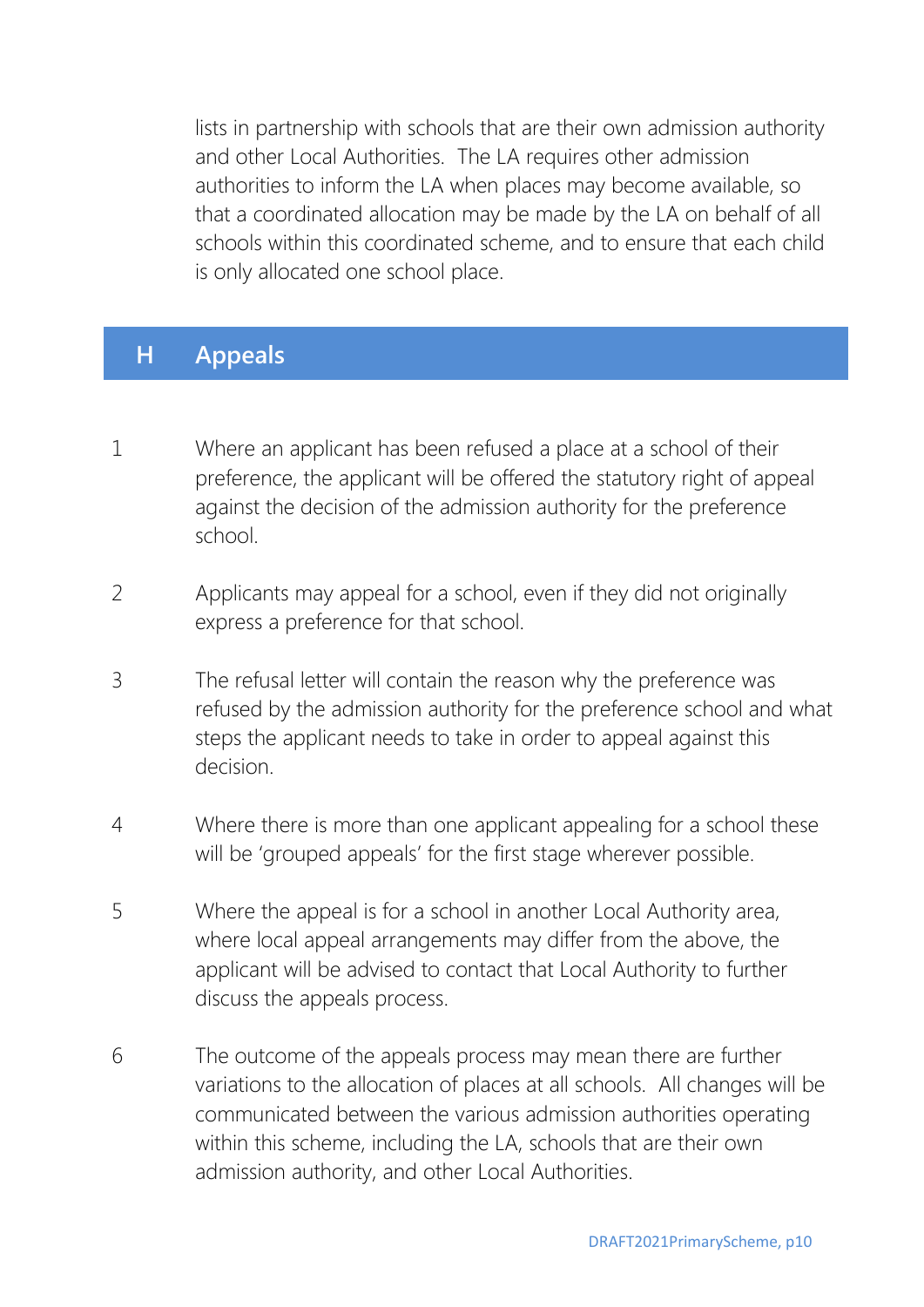lists in partnership with schools that are their own admission authority and other Local Authorities. The LA requires other admission authorities to inform the LA when places may become available, so that a coordinated allocation may be made by the LA on behalf of all schools within this coordinated scheme, and to ensure that each child is only allocated one school place.

#### **H Appeals**

- 1 Where an applicant has been refused a place at a school of their preference, the applicant will be offered the statutory right of appeal against the decision of the admission authority for the preference school.
- 2 Applicants may appeal for a school, even if they did not originally express a preference for that school.
- 3 The refusal letter will contain the reason why the preference was refused by the admission authority for the preference school and what steps the applicant needs to take in order to appeal against this decision.
- 4 Where there is more than one applicant appealing for a school these will be 'grouped appeals' for the first stage wherever possible.
- 5 Where the appeal is for a school in another Local Authority area, where local appeal arrangements may differ from the above, the applicant will be advised to contact that Local Authority to further discuss the appeals process.
- 6 The outcome of the appeals process may mean there are further variations to the allocation of places at all schools. All changes will be communicated between the various admission authorities operating within this scheme, including the LA, schools that are their own admission authority, and other Local Authorities.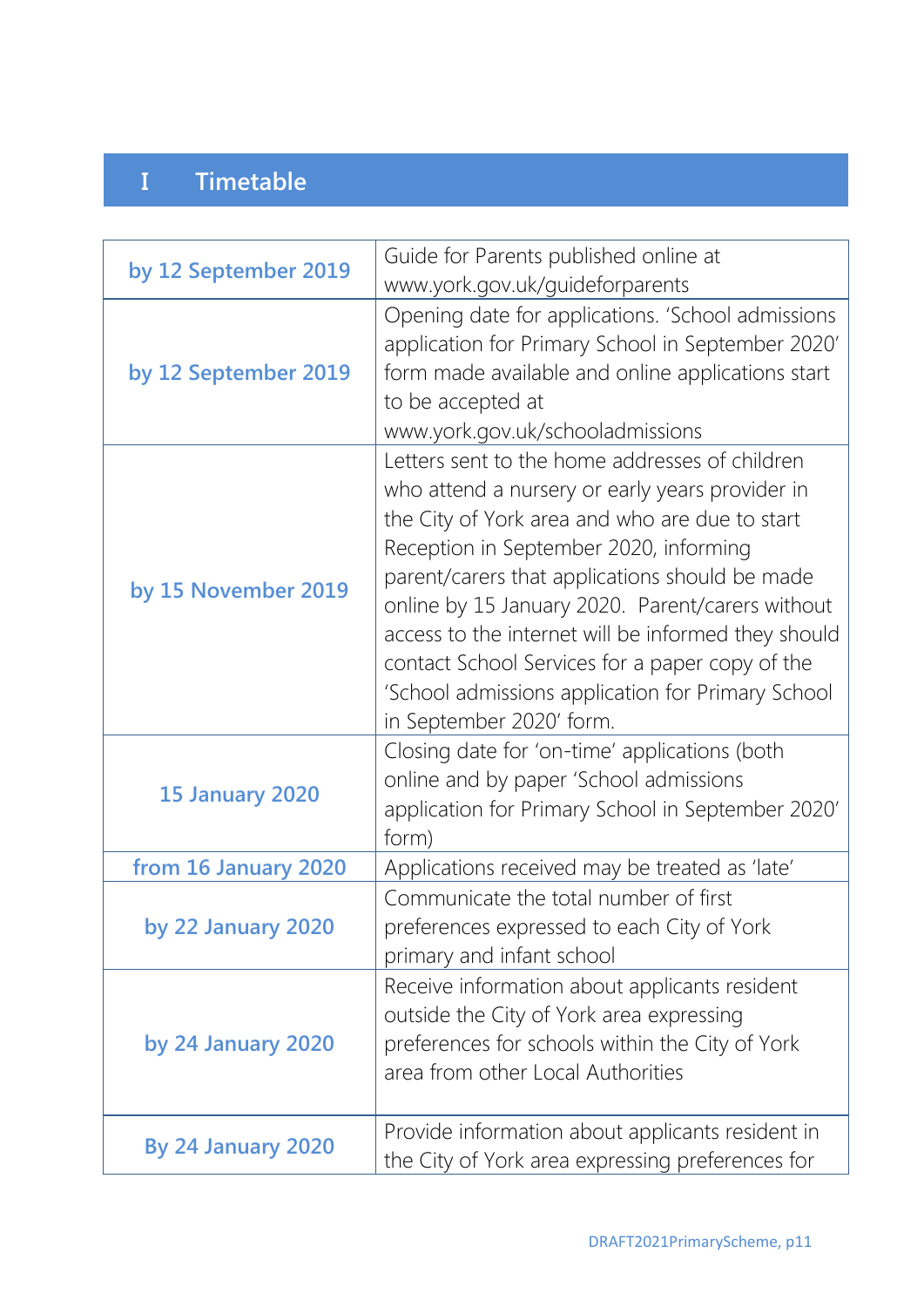# **I Timetable**

| by 12 September 2019      | Guide for Parents published online at<br>www.york.gov.uk/guideforparents                                                                                                                                                                                                                                                                                                                                                                                                                       |
|---------------------------|------------------------------------------------------------------------------------------------------------------------------------------------------------------------------------------------------------------------------------------------------------------------------------------------------------------------------------------------------------------------------------------------------------------------------------------------------------------------------------------------|
| by 12 September 2019      | Opening date for applications. 'School admissions<br>application for Primary School in September 2020'<br>form made available and online applications start<br>to be accepted at<br>www.york.gov.uk/schooladmissions                                                                                                                                                                                                                                                                           |
| by 15 November 2019       | Letters sent to the home addresses of children<br>who attend a nursery or early years provider in<br>the City of York area and who are due to start<br>Reception in September 2020, informing<br>parent/carers that applications should be made<br>online by 15 January 2020. Parent/carers without<br>access to the internet will be informed they should<br>contact School Services for a paper copy of the<br>'School admissions application for Primary School<br>in September 2020' form. |
| <b>15 January 2020</b>    | Closing date for 'on-time' applications (both<br>online and by paper 'School admissions<br>application for Primary School in September 2020'<br>form)                                                                                                                                                                                                                                                                                                                                          |
| from 16 January 2020      | Applications received may be treated as 'late'                                                                                                                                                                                                                                                                                                                                                                                                                                                 |
| by 22 January 2020        | Communicate the total number of first<br>preferences expressed to each City of York<br>primary and infant school                                                                                                                                                                                                                                                                                                                                                                               |
| by 24 January 2020        | Receive information about applicants resident<br>outside the City of York area expressing<br>preferences for schools within the City of York<br>area from other Local Authorities                                                                                                                                                                                                                                                                                                              |
| <b>By 24 January 2020</b> | Provide information about applicants resident in<br>the City of York area expressing preferences for                                                                                                                                                                                                                                                                                                                                                                                           |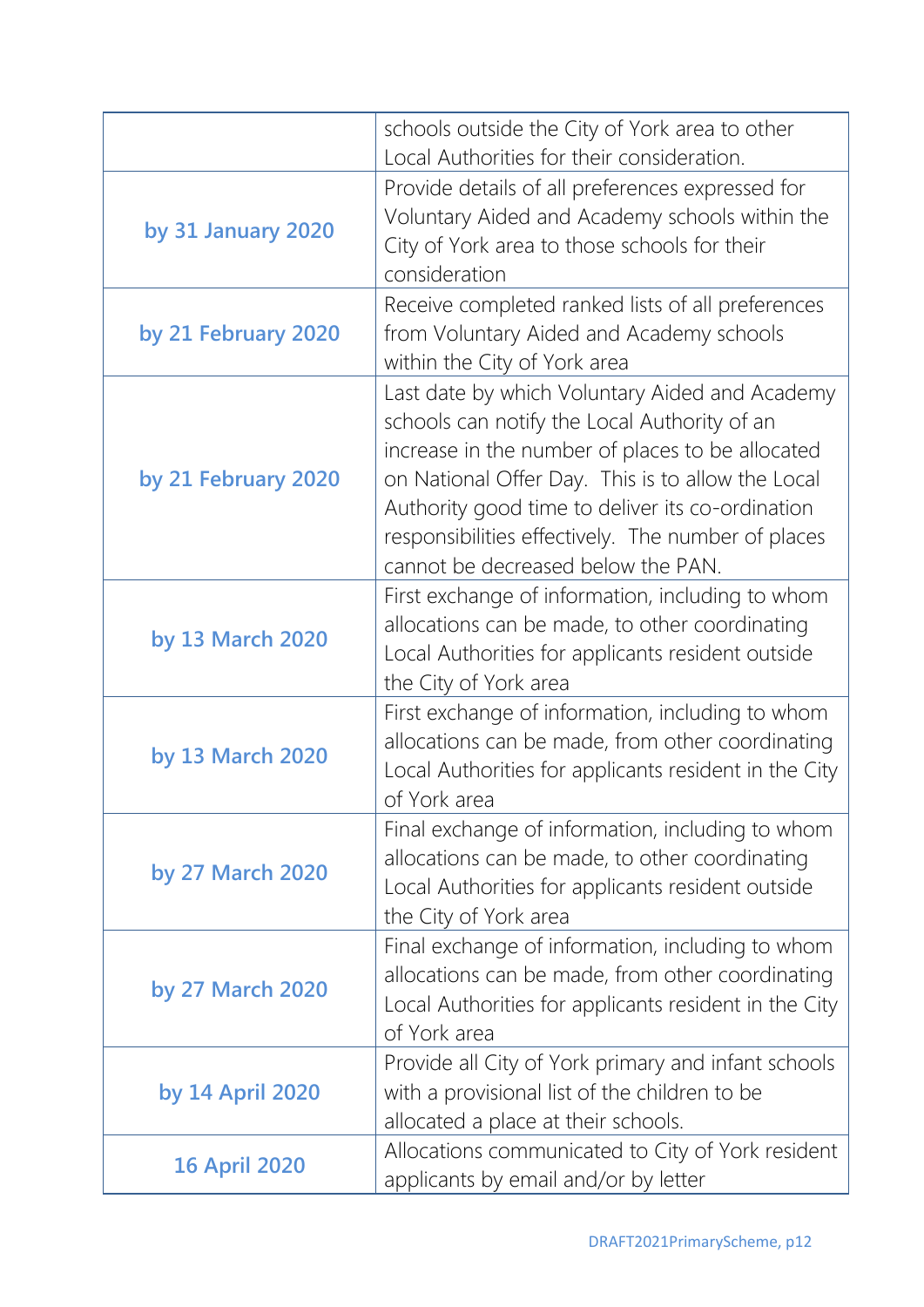|                      | schools outside the City of York area to other                                                                                                                                                                                                                                                                                                          |
|----------------------|---------------------------------------------------------------------------------------------------------------------------------------------------------------------------------------------------------------------------------------------------------------------------------------------------------------------------------------------------------|
| by 31 January 2020   | Local Authorities for their consideration.<br>Provide details of all preferences expressed for<br>Voluntary Aided and Academy schools within the<br>City of York area to those schools for their<br>consideration                                                                                                                                       |
| by 21 February 2020  | Receive completed ranked lists of all preferences<br>from Voluntary Aided and Academy schools<br>within the City of York area                                                                                                                                                                                                                           |
| by 21 February 2020  | Last date by which Voluntary Aided and Academy<br>schools can notify the Local Authority of an<br>increase in the number of places to be allocated<br>on National Offer Day. This is to allow the Local<br>Authority good time to deliver its co-ordination<br>responsibilities effectively. The number of places<br>cannot be decreased below the PAN. |
| by 13 March 2020     | First exchange of information, including to whom<br>allocations can be made, to other coordinating<br>Local Authorities for applicants resident outside<br>the City of York area                                                                                                                                                                        |
| by 13 March 2020     | First exchange of information, including to whom<br>allocations can be made, from other coordinating<br>Local Authorities for applicants resident in the City<br>of York area                                                                                                                                                                           |
| by 27 March 2020     | Final exchange of information, including to whom<br>allocations can be made, to other coordinating<br>Local Authorities for applicants resident outside<br>the City of York area                                                                                                                                                                        |
| by 27 March 2020     | Final exchange of information, including to whom<br>allocations can be made, from other coordinating<br>Local Authorities for applicants resident in the City<br>of York area                                                                                                                                                                           |
| by 14 April 2020     | Provide all City of York primary and infant schools<br>with a provisional list of the children to be<br>allocated a place at their schools.                                                                                                                                                                                                             |
| <b>16 April 2020</b> | Allocations communicated to City of York resident<br>applicants by email and/or by letter                                                                                                                                                                                                                                                               |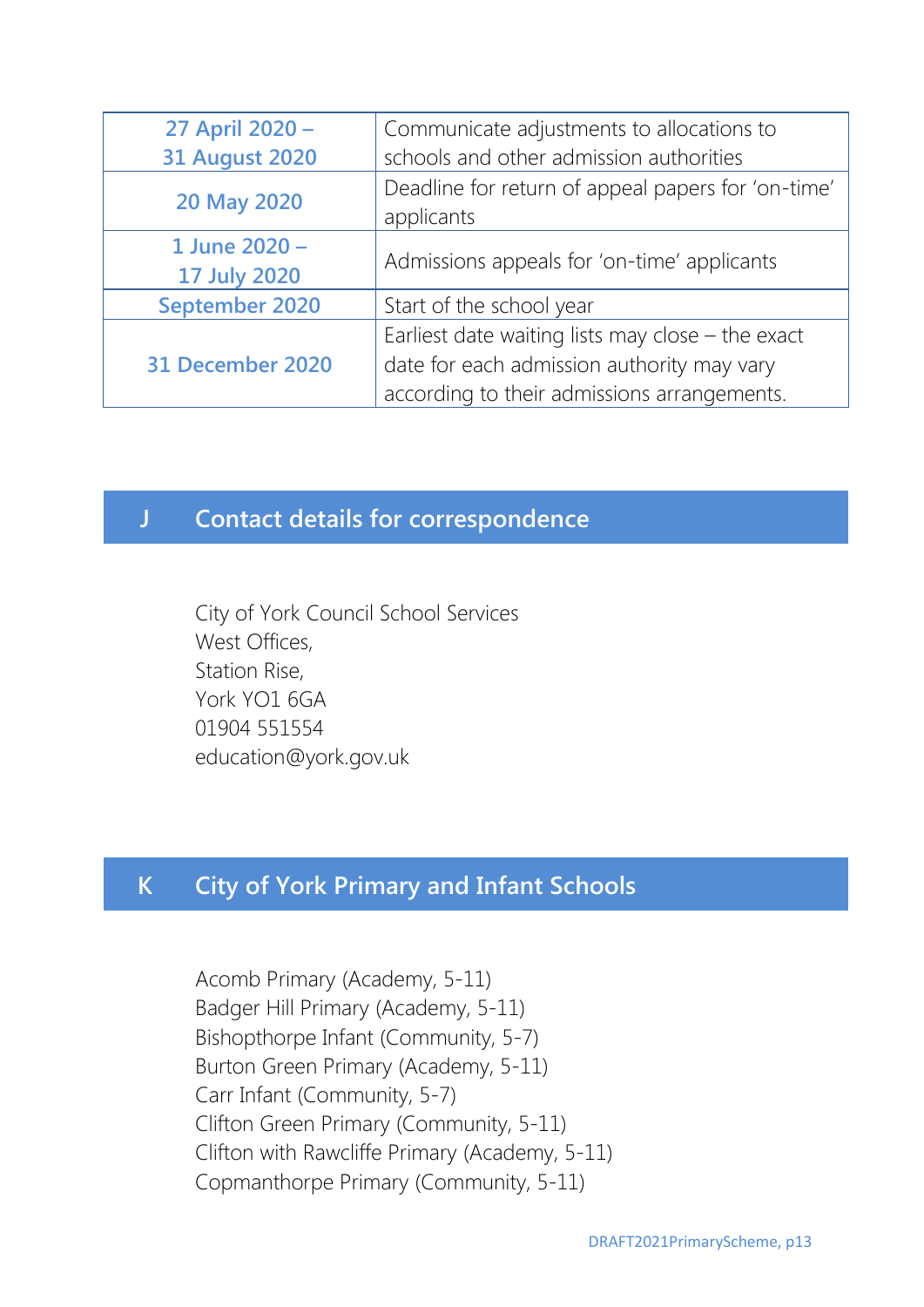| 27 April 2020 -       | Communicate adjustments to allocations to                        |
|-----------------------|------------------------------------------------------------------|
| <b>31 August 2020</b> | schools and other admission authorities                          |
| 20 May 2020           | Deadline for return of appeal papers for 'on-time'<br>applicants |
|                       |                                                                  |
| 1 June 2020 -         | Admissions appeals for 'on-time' applicants                      |
| <b>17 July 2020</b>   |                                                                  |
| September 2020        | Start of the school year                                         |
| 31 December 2020      | Earliest date waiting lists may close $-$ the exact              |
|                       | date for each admission authority may vary                       |
|                       | according to their admissions arrangements.                      |

## **J Contact details for correspondence**

City of York Council School Services West Offices, Station Rise, York YO1 6GA 01904 551554 education@york.gov.uk

# **K City of York Primary and Infant Schools**

Acomb Primary (Academy, 5-11) Badger Hill Primary (Academy, 5-11) Bishopthorpe Infant (Community, 5-7) Burton Green Primary (Academy, 5-11) Carr Infant (Community, 5-7) Clifton Green Primary (Community, 5-11) Clifton with Rawcliffe Primary (Academy, 5-11) Copmanthorpe Primary (Community, 5-11)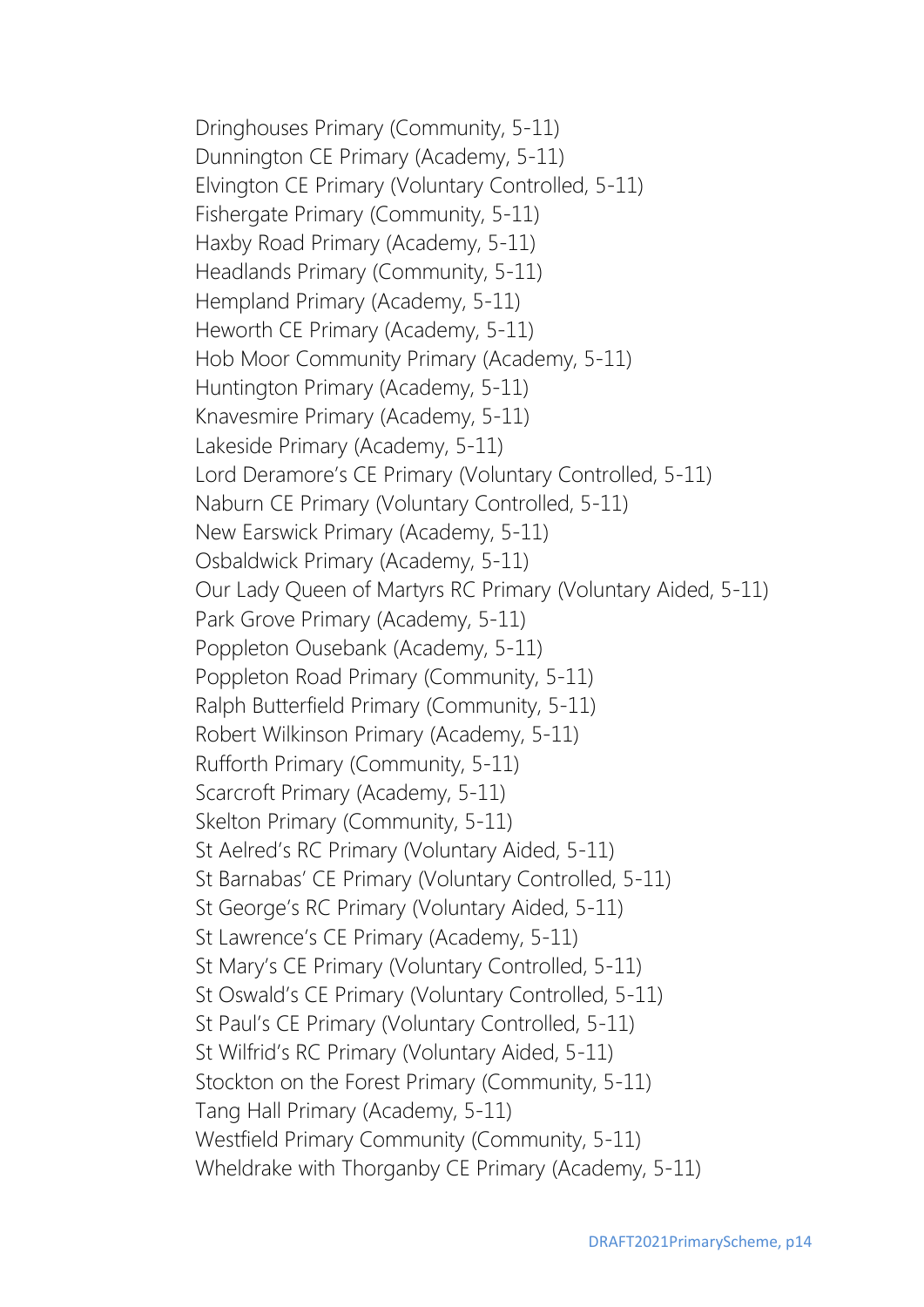Dringhouses Primary (Community, 5-11) Dunnington CE Primary (Academy, 5-11) Elvington CE Primary (Voluntary Controlled, 5-11) Fishergate Primary (Community, 5-11) Haxby Road Primary (Academy, 5-11) Headlands Primary (Community, 5-11) Hempland Primary (Academy, 5-11) Heworth CE Primary (Academy, 5-11) Hob Moor Community Primary (Academy, 5-11) Huntington Primary (Academy, 5-11) Knavesmire Primary (Academy, 5-11) Lakeside Primary (Academy, 5-11) Lord Deramore's CE Primary (Voluntary Controlled, 5-11) Naburn CE Primary (Voluntary Controlled, 5-11) New Earswick Primary (Academy, 5-11) Osbaldwick Primary (Academy, 5-11) Our Lady Queen of Martyrs RC Primary (Voluntary Aided, 5-11) Park Grove Primary (Academy, 5-11) Poppleton Ousebank (Academy, 5-11) Poppleton Road Primary (Community, 5-11) Ralph Butterfield Primary (Community, 5-11) Robert Wilkinson Primary (Academy, 5-11) Rufforth Primary (Community, 5-11) Scarcroft Primary (Academy, 5-11) Skelton Primary (Community, 5-11) St Aelred's RC Primary (Voluntary Aided, 5-11) St Barnabas' CE Primary (Voluntary Controlled, 5-11) St George's RC Primary (Voluntary Aided, 5-11) St Lawrence's CE Primary (Academy, 5-11) St Mary's CE Primary (Voluntary Controlled, 5-11) St Oswald's CE Primary (Voluntary Controlled, 5-11) St Paul's CE Primary (Voluntary Controlled, 5-11) St Wilfrid's RC Primary (Voluntary Aided, 5-11) Stockton on the Forest Primary (Community, 5-11) Tang Hall Primary (Academy, 5-11) Westfield Primary Community (Community, 5-11) Wheldrake with Thorganby CE Primary (Academy, 5-11)